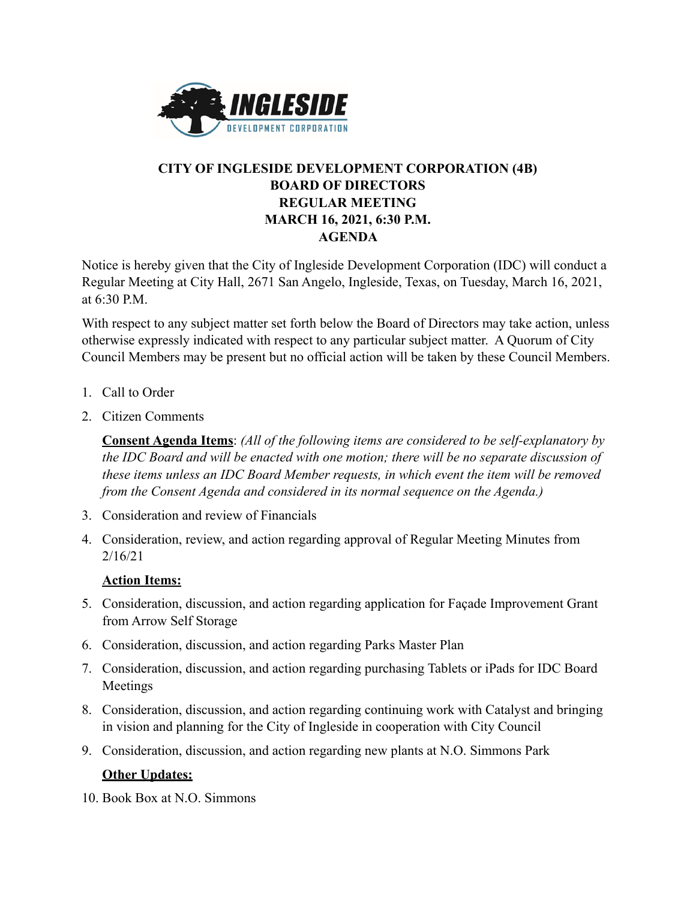

## **CITY OF INGLESIDE DEVELOPMENT CORPORATION (4B) BOARD OF DIRECTORS REGULAR MEETING MARCH 16, 2021, 6:30 P.M. AGENDA**

Notice is hereby given that the City of Ingleside Development Corporation (IDC) will conduct a Regular Meeting at City Hall, 2671 San Angelo, Ingleside, Texas, on Tuesday, March 16, 2021, at 6:30 P.M.

With respect to any subject matter set forth below the Board of Directors may take action, unless otherwise expressly indicated with respect to any particular subject matter. A Quorum of City Council Members may be present but no official action will be taken by these Council Members.

- 1. Call to Order
- 2. Citizen Comments

**Consent Agenda Items**: *(All of the following items are considered to be self-explanatory by the IDC Board and will be enacted with one motion; there will be no separate discussion of these items unless an IDC Board Member requests, in which event the item will be removed from the Consent Agenda and considered in its normal sequence on the Agenda.)*

- 3. Consideration and review of Financials
- 4. Consideration, review, and action regarding approval of Regular Meeting Minutes from 2/16/21

## **Action Items:**

- 5. Consideration, discussion, and action regarding application for Façade Improvement Grant from Arrow Self Storage
- 6. Consideration, discussion, and action regarding Parks Master Plan
- 7. Consideration, discussion, and action regarding purchasing Tablets or iPads for IDC Board Meetings
- 8. Consideration, discussion, and action regarding continuing work with Catalyst and bringing in vision and planning for the City of Ingleside in cooperation with City Council
- 9. Consideration, discussion, and action regarding new plants at N.O. Simmons Park

## **Other Updates:**

10. Book Box at N.O. Simmons